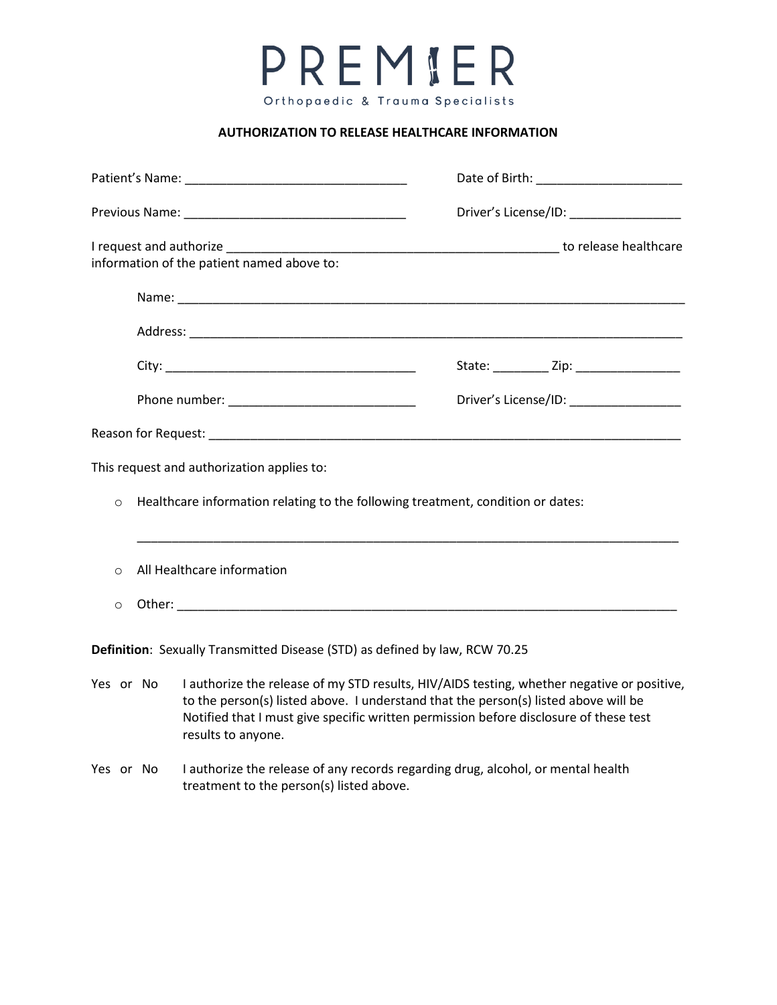PREMIER Orthopaedic & Trauma Specialists

## **AUTHORIZATION TO RELEASE HEALTHCARE INFORMATION**

|                                                                                            |                                                                                                                                                                                                                                                                                                               |                                                                                                                              | Date of Birth: _______________________    |                                              |
|--------------------------------------------------------------------------------------------|---------------------------------------------------------------------------------------------------------------------------------------------------------------------------------------------------------------------------------------------------------------------------------------------------------------|------------------------------------------------------------------------------------------------------------------------------|-------------------------------------------|----------------------------------------------|
|                                                                                            |                                                                                                                                                                                                                                                                                                               |                                                                                                                              | Driver's License/ID: ___________________  |                                              |
| information of the patient named above to:                                                 |                                                                                                                                                                                                                                                                                                               |                                                                                                                              |                                           |                                              |
|                                                                                            |                                                                                                                                                                                                                                                                                                               |                                                                                                                              |                                           |                                              |
|                                                                                            |                                                                                                                                                                                                                                                                                                               |                                                                                                                              |                                           |                                              |
|                                                                                            |                                                                                                                                                                                                                                                                                                               |                                                                                                                              |                                           | State: ____________ Zip: ___________________ |
|                                                                                            |                                                                                                                                                                                                                                                                                                               |                                                                                                                              | Driver's License/ID: ____________________ |                                              |
|                                                                                            |                                                                                                                                                                                                                                                                                                               |                                                                                                                              |                                           |                                              |
| This request and authorization applies to:                                                 |                                                                                                                                                                                                                                                                                                               |                                                                                                                              |                                           |                                              |
| Healthcare information relating to the following treatment, condition or dates:<br>$\circ$ |                                                                                                                                                                                                                                                                                                               |                                                                                                                              |                                           |                                              |
| $\Omega$                                                                                   | All Healthcare information                                                                                                                                                                                                                                                                                    |                                                                                                                              |                                           |                                              |
| $\circ$                                                                                    |                                                                                                                                                                                                                                                                                                               |                                                                                                                              |                                           |                                              |
| Definition: Sexually Transmitted Disease (STD) as defined by law, RCW 70.25                |                                                                                                                                                                                                                                                                                                               |                                                                                                                              |                                           |                                              |
|                                                                                            | I authorize the release of my STD results, HIV/AIDS testing, whether negative or positive,<br>Yes or No<br>to the person(s) listed above. I understand that the person(s) listed above will be<br>Notified that I must give specific written permission before disclosure of these test<br>results to anyone. |                                                                                                                              |                                           |                                              |
| Yes or No                                                                                  |                                                                                                                                                                                                                                                                                                               | I authorize the release of any records regarding drug, alcohol, or mental health<br>treatment to the person(s) listed above. |                                           |                                              |